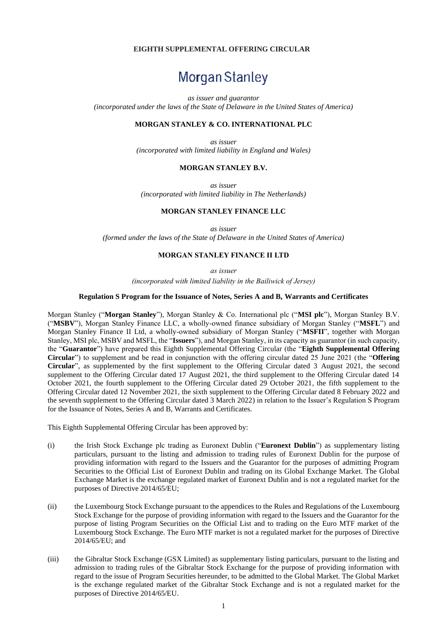# **EIGHTH SUPPLEMENTAL OFFERING CIRCULAR**

# Morgan Stanley

*as issuer and guarantor*

*(incorporated under the laws of the State of Delaware in the United States of America)*

# **MORGAN STANLEY & CO. INTERNATIONAL PLC**

*as issuer (incorporated with limited liability in England and Wales)*

## **MORGAN STANLEY B.V.**

*as issuer (incorporated with limited liability in The Netherlands)*

#### **MORGAN STANLEY FINANCE LLC**

*as issuer*

*(formed under the laws of the State of Delaware in the United States of America)*

#### **MORGAN STANLEY FINANCE II LTD**

*as issuer* 

*(incorporated with limited liability in the Bailiwick of Jersey)*

#### **Regulation S Program for the Issuance of Notes, Series A and B, Warrants and Certificates**

Morgan Stanley ("**Morgan Stanley**"), Morgan Stanley & Co. International plc ("**MSI plc**"), Morgan Stanley B.V. ("**MSBV**"), Morgan Stanley Finance LLC, a wholly-owned finance subsidiary of Morgan Stanley ("**MSFL**") and Morgan Stanley Finance II Ltd, a wholly-owned subsidiary of Morgan Stanley ("**MSFII**", together with Morgan Stanley, MSI plc, MSBV and MSFL, the "**Issuers**"), and Morgan Stanley, in its capacity as guarantor (in such capacity, the "**Guarantor**") have prepared this Eighth Supplemental Offering Circular (the "**Eighth Supplemental Offering Circular**") to supplement and be read in conjunction with the offering circular dated 25 June 2021 (the "**Offering Circular**", as supplemented by the first supplement to the Offering Circular dated 3 August 2021, the second supplement to the Offering Circular dated 17 August 2021, the third supplement to the Offering Circular dated 14 October 2021, the fourth supplement to the Offering Circular dated 29 October 2021, the fifth supplement to the Offering Circular dated 12 November 2021, the sixth supplement to the Offering Circular dated 8 February 2022 and the seventh supplement to the Offering Circular dated 3 March 2022) in relation to the Issuer's Regulation S Program for the Issuance of Notes, Series A and B, Warrants and Certificates.

This Eighth Supplemental Offering Circular has been approved by:

- (i) the Irish Stock Exchange plc trading as Euronext Dublin ("**Euronext Dublin**") as supplementary listing particulars, pursuant to the listing and admission to trading rules of Euronext Dublin for the purpose of providing information with regard to the Issuers and the Guarantor for the purposes of admitting Program Securities to the Official List of Euronext Dublin and trading on its Global Exchange Market. The Global Exchange Market is the exchange regulated market of Euronext Dublin and is not a regulated market for the purposes of Directive 2014/65/EU;
- (ii) the Luxembourg Stock Exchange pursuant to the appendices to the Rules and Regulations of the Luxembourg Stock Exchange for the purpose of providing information with regard to the Issuers and the Guarantor for the purpose of listing Program Securities on the Official List and to trading on the Euro MTF market of the Luxembourg Stock Exchange. The Euro MTF market is not a regulated market for the purposes of Directive 2014/65/EU; and
- (iii) the Gibraltar Stock Exchange (GSX Limited) as supplementary listing particulars, pursuant to the listing and admission to trading rules of the Gibraltar Stock Exchange for the purpose of providing information with regard to the issue of Program Securities hereunder, to be admitted to the Global Market. The Global Market is the exchange regulated market of the Gibraltar Stock Exchange and is not a regulated market for the purposes of Directive 2014/65/EU.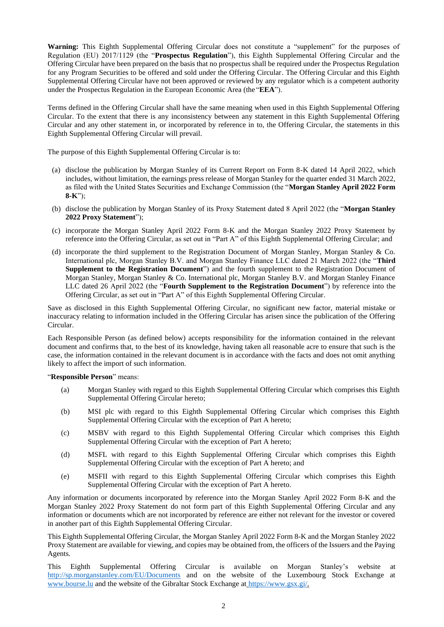**Warning:** This Eighth Supplemental Offering Circular does not constitute a "supplement" for the purposes of Regulation (EU) 2017/1129 (the "**Prospectus Regulation**"), this Eighth Supplemental Offering Circular and the Offering Circular have been prepared on the basis that no prospectus shall be required under the Prospectus Regulation for any Program Securities to be offered and sold under the Offering Circular. The Offering Circular and this Eighth Supplemental Offering Circular have not been approved or reviewed by any regulator which is a competent authority under the Prospectus Regulation in the European Economic Area (the "**EEA**").

Terms defined in the Offering Circular shall have the same meaning when used in this Eighth Supplemental Offering Circular. To the extent that there is any inconsistency between any statement in this Eighth Supplemental Offering Circular and any other statement in, or incorporated by reference in to, the Offering Circular, the statements in this Eighth Supplemental Offering Circular will prevail.

The purpose of this Eighth Supplemental Offering Circular is to:

- (a) disclose the publication by Morgan Stanley of its Current Report on Form 8-K dated 14 April 2022, which includes, without limitation, the earnings press release of Morgan Stanley for the quarter ended 31 March 2022, as filed with the United States Securities and Exchange Commission (the "**Morgan Stanley April 2022 Form 8-K**");
- (b) disclose the publication by Morgan Stanley of its Proxy Statement dated 8 April 2022 (the "**Morgan Stanley 2022 Proxy Statement**");
- (c) incorporate the Morgan Stanley April 2022 Form 8-K and the Morgan Stanley 2022 Proxy Statement by reference into the Offering Circular, as set out in "Part A" of this Eighth Supplemental Offering Circular; and
- (d) incorporate the third supplement to the Registration Document of Morgan Stanley, Morgan Stanley & Co. International plc, Morgan Stanley B.V. and Morgan Stanley Finance LLC dated 21 March 2022 (the "**Third Supplement to the Registration Document**") and the fourth supplement to the Registration Document of Morgan Stanley, Morgan Stanley & Co. International plc, Morgan Stanley B.V. and Morgan Stanley Finance LLC dated 26 April 2022 (the "**Fourth Supplement to the Registration Document**") by reference into the Offering Circular, as set out in "Part A" of this Eighth Supplemental Offering Circular.

Save as disclosed in this Eighth Supplemental Offering Circular, no significant new factor, material mistake or inaccuracy relating to information included in the Offering Circular has arisen since the publication of the Offering Circular.

Each Responsible Person (as defined below) accepts responsibility for the information contained in the relevant document and confirms that, to the best of its knowledge, having taken all reasonable acre to ensure that such is the case, the information contained in the relevant document is in accordance with the facts and does not omit anything likely to affect the import of such information.

"**Responsible Person**" means:

- (a) Morgan Stanley with regard to this Eighth Supplemental Offering Circular which comprises this Eighth Supplemental Offering Circular hereto;
- (b) MSI plc with regard to this Eighth Supplemental Offering Circular which comprises this Eighth Supplemental Offering Circular with the exception of Part A hereto;
- (c) MSBV with regard to this Eighth Supplemental Offering Circular which comprises this Eighth Supplemental Offering Circular with the exception of Part A hereto;
- (d) MSFL with regard to this Eighth Supplemental Offering Circular which comprises this Eighth Supplemental Offering Circular with the exception of Part A hereto; and
- (e) MSFII with regard to this Eighth Supplemental Offering Circular which comprises this Eighth Supplemental Offering Circular with the exception of Part A hereto.

Any information or documents incorporated by reference into the Morgan Stanley April 2022 Form 8-K and the Morgan Stanley 2022 Proxy Statement do not form part of this Eighth Supplemental Offering Circular and any information or documents which are not incorporated by reference are either not relevant for the investor or covered in another part of this Eighth Supplemental Offering Circular.

This Eighth Supplemental Offering Circular, the Morgan Stanley April 2022 Form 8-K and the Morgan Stanley 2022 Proxy Statement are available for viewing, and copies may be obtained from, the officers of the Issuers and the Paying Agents.

This Eighth Supplemental Offering Circular is available on Morgan Stanley's website at http://sp.morganstanley.com/EU/Documents and on the website of the Luxembourg Stock Exchange at www.bourse.lu and the website of the Gibraltar Stock Exchange at https://www.gsx.gi/.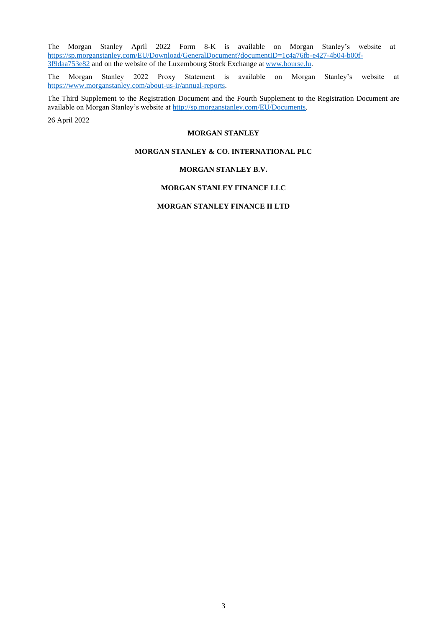The Morgan Stanley April 2022 Form 8-K is available on Morgan Stanley's website at [https://sp.morganstanley.com/EU/Download/GeneralDocument?documentID=1c4a76fb-e427-4b04-b00f-](https://sp.morganstanley.com/EU/Download/GeneralDocument?documentID=1c4a76fb-e427-4b04-b00f-3f9daa753e82)[3f9daa753e82](https://sp.morganstanley.com/EU/Download/GeneralDocument?documentID=1c4a76fb-e427-4b04-b00f-3f9daa753e82) and on the website of the Luxembourg Stock Exchange at [www.bourse.lu.](http://www.bourse.lu/)

The Morgan Stanley 2022 Proxy Statement is available on Morgan Stanley's website at [https://www.morganstanley.com/about-us-ir/annual-reports.](https://www.morganstanley.com/about-us-ir/annual-reports)

The Third Supplement to the Registration Document and the Fourth Supplement to the Registration Document are available on Morgan Stanley's website at http://sp.morganstanley.com/EU/Documents.

26 April 2022

#### **MORGAN STANLEY**

# **MORGAN STANLEY & CO. INTERNATIONAL PLC**

## **MORGAN STANLEY B.V.**

## **MORGAN STANLEY FINANCE LLC**

## **MORGAN STANLEY FINANCE II LTD**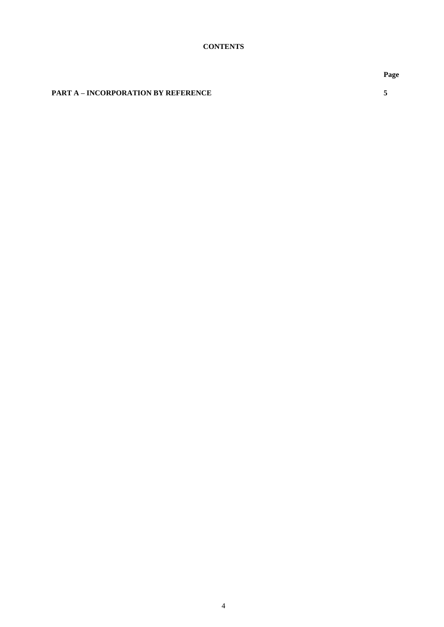**PART A – INCORPORATION BY REFERENCE 5**

**Page**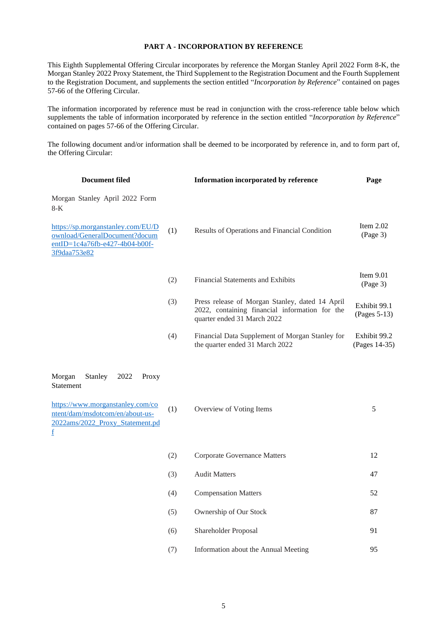# **PART A - INCORPORATION BY REFERENCE**

This Eighth Supplemental Offering Circular incorporates by reference the Morgan Stanley April 2022 Form 8-K, the Morgan Stanley 2022 Proxy Statement, the Third Supplement to the Registration Document and the Fourth Supplement to the Registration Document, and supplements the section entitled "*Incorporation by Reference*" contained on pages 57-66 of the Offering Circular.

The information incorporated by reference must be read in conjunction with the cross-reference table below which supplements the table of information incorporated by reference in the section entitled "*Incorporation by Reference*" contained on pages 57-66 of the Offering Circular.

The following document and/or information shall be deemed to be incorporated by reference in, and to form part of, the Offering Circular:

| <b>Document filed</b>                                                                                                |     | Information incorporated by reference                                                                                            | Page                          |
|----------------------------------------------------------------------------------------------------------------------|-----|----------------------------------------------------------------------------------------------------------------------------------|-------------------------------|
| Morgan Stanley April 2022 Form<br>$8-K$                                                                              |     |                                                                                                                                  |                               |
| https://sp.morganstanley.com/EU/D<br>ownload/GeneralDocument?docum<br>entID=1c4a76fb-e427-4b04-b00f-<br>3f9daa753e82 | (1) | Results of Operations and Financial Condition                                                                                    | Item $2.02$<br>(Page 3)       |
|                                                                                                                      | (2) | Financial Statements and Exhibits                                                                                                | Item $9.01$<br>(Page 3)       |
|                                                                                                                      | (3) | Press release of Morgan Stanley, dated 14 April<br>2022, containing financial information for the<br>quarter ended 31 March 2022 | Exhibit 99.1<br>(Pages 5-13)  |
|                                                                                                                      | (4) | Financial Data Supplement of Morgan Stanley for<br>the quarter ended 31 March 2022                                               | Exhibit 99.2<br>(Pages 14-35) |
| Morgan<br>Stanley<br>2022<br>Proxy<br>Statement                                                                      |     |                                                                                                                                  |                               |
| https://www.morganstanley.com/co<br>ntent/dam/msdotcom/en/about-us-<br>2022ams/2022_Proxy_Statement.pd<br>f          | (1) | Overview of Voting Items                                                                                                         | $\sqrt{5}$                    |
|                                                                                                                      | (2) | <b>Corporate Governance Matters</b>                                                                                              | 12                            |
|                                                                                                                      | (3) | <b>Audit Matters</b>                                                                                                             | 47                            |
|                                                                                                                      | (4) | <b>Compensation Matters</b>                                                                                                      | 52                            |
|                                                                                                                      | (5) | Ownership of Our Stock                                                                                                           | 87                            |
|                                                                                                                      | (6) | Shareholder Proposal                                                                                                             | 91                            |
|                                                                                                                      | (7) | Information about the Annual Meeting                                                                                             | 95                            |